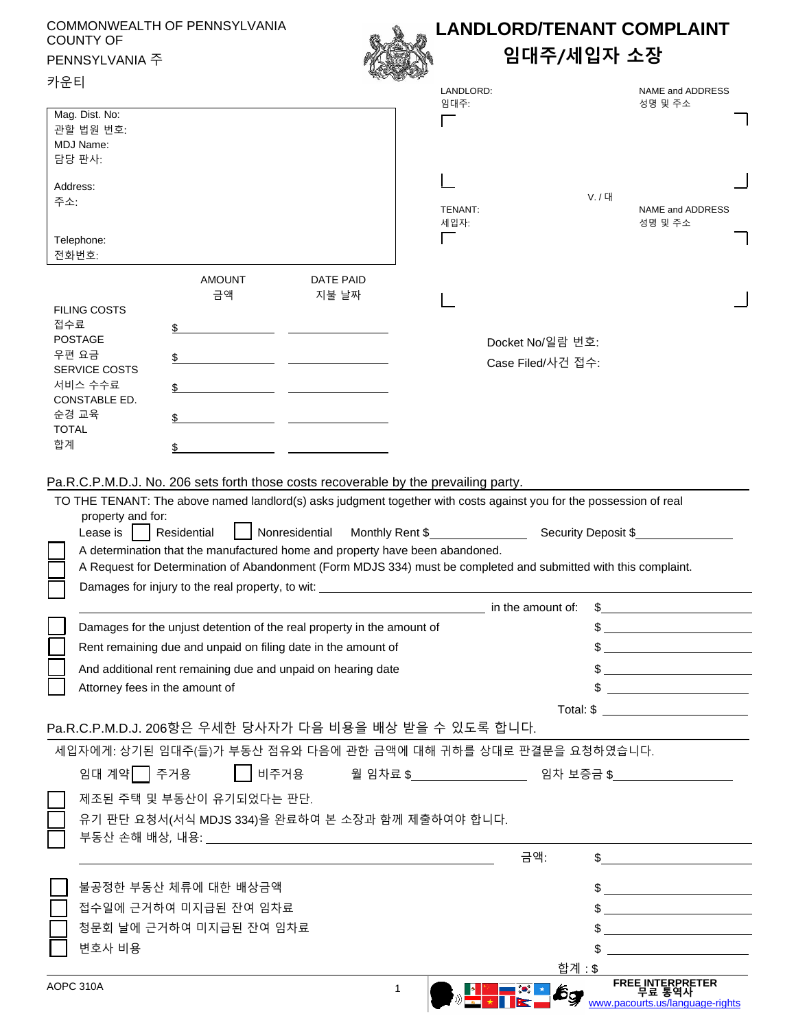| COMMONWEALTH OF PENNSYLVANIA<br><b>COUNTY OF</b>          |                                                    |                                                                                                                     |                   | <b>LANDLORD/TENANT COMPLAINT</b><br>임대주/세입자 소장 |                             |                                                                                                                                                                                                                                                                                                                     |  |
|-----------------------------------------------------------|----------------------------------------------------|---------------------------------------------------------------------------------------------------------------------|-------------------|------------------------------------------------|-----------------------------|---------------------------------------------------------------------------------------------------------------------------------------------------------------------------------------------------------------------------------------------------------------------------------------------------------------------|--|
|                                                           | PENNSYLVANIA 주                                     |                                                                                                                     |                   |                                                |                             |                                                                                                                                                                                                                                                                                                                     |  |
| 카운티                                                       |                                                    |                                                                                                                     | LANDLORD:<br>임대주: |                                                | NAME and ADDRESS<br>성명 및 주소 |                                                                                                                                                                                                                                                                                                                     |  |
|                                                           | Mag. Dist. No:<br>관할 법원 번호:<br>MDJ Name:<br>담당 판사: |                                                                                                                     |                   | L                                              |                             |                                                                                                                                                                                                                                                                                                                     |  |
| Address:<br>주소:                                           |                                                    |                                                                                                                     |                   |                                                | V. / 대                      |                                                                                                                                                                                                                                                                                                                     |  |
|                                                           |                                                    |                                                                                                                     |                   | TENANT:<br>세입자:                                |                             | NAME and ADDRESS<br>성명 및 주소                                                                                                                                                                                                                                                                                         |  |
|                                                           | Telephone:<br>전화번호:                                |                                                                                                                     |                   | $\Box$                                         |                             |                                                                                                                                                                                                                                                                                                                     |  |
|                                                           |                                                    | <b>AMOUNT</b><br><b>DATE PAID</b>                                                                                   |                   |                                                |                             |                                                                                                                                                                                                                                                                                                                     |  |
|                                                           | <b>FILING COSTS</b>                                | 금액<br>지불 날짜                                                                                                         |                   |                                                |                             |                                                                                                                                                                                                                                                                                                                     |  |
| 접수료                                                       |                                                    | \$                                                                                                                  |                   |                                                |                             |                                                                                                                                                                                                                                                                                                                     |  |
|                                                           | <b>POSTAGE</b>                                     |                                                                                                                     |                   | Docket No/일람 번호:                               |                             |                                                                                                                                                                                                                                                                                                                     |  |
| 우편 요금<br>SERVICE COSTS<br>서비스 수수료<br><b>CONSTABLE ED.</b> |                                                    |                                                                                                                     |                   | Case Filed/사건 접수:                              |                             |                                                                                                                                                                                                                                                                                                                     |  |
|                                                           |                                                    | \$                                                                                                                  |                   |                                                |                             |                                                                                                                                                                                                                                                                                                                     |  |
|                                                           | 순경 교육                                              |                                                                                                                     |                   |                                                |                             |                                                                                                                                                                                                                                                                                                                     |  |
| <b>TOTAL</b>                                              |                                                    |                                                                                                                     |                   |                                                |                             |                                                                                                                                                                                                                                                                                                                     |  |
| 합계                                                        |                                                    |                                                                                                                     |                   |                                                |                             |                                                                                                                                                                                                                                                                                                                     |  |
|                                                           |                                                    | Pa.R.C.P.M.D.J. No. 206 sets forth those costs recoverable by the prevailing party.                                 |                   |                                                |                             |                                                                                                                                                                                                                                                                                                                     |  |
|                                                           | property and for:                                  | TO THE TENANT: The above named landlord(s) asks judgment together with costs against you for the possession of real |                   |                                                |                             |                                                                                                                                                                                                                                                                                                                     |  |
|                                                           | Lease is                                           | Nonresidential<br>Residential<br>A determination that the manufactured home and property have been abandoned.       |                   | Monthly Rent \$ Security Deposit \$            |                             |                                                                                                                                                                                                                                                                                                                     |  |
|                                                           |                                                    | A Request for Determination of Abandonment (Form MDJS 334) must be completed and submitted with this complaint.     |                   |                                                |                             |                                                                                                                                                                                                                                                                                                                     |  |
|                                                           |                                                    | Damages for injury to the real property, to wit: _______________________________                                    |                   |                                                |                             |                                                                                                                                                                                                                                                                                                                     |  |
|                                                           |                                                    |                                                                                                                     |                   | in the amount of:                              | S                           | <u> 1989 - Johann Barbara, martin a</u>                                                                                                                                                                                                                                                                             |  |
|                                                           |                                                    | Damages for the unjust detention of the real property in the amount of                                              |                   |                                                |                             |                                                                                                                                                                                                                                                                                                                     |  |
|                                                           |                                                    | Rent remaining due and unpaid on filing date in the amount of                                                       |                   |                                                |                             |                                                                                                                                                                                                                                                                                                                     |  |
| Attorney fees in the amount of                            |                                                    | And additional rent remaining due and unpaid on hearing date                                                        |                   |                                                |                             |                                                                                                                                                                                                                                                                                                                     |  |
|                                                           |                                                    |                                                                                                                     |                   |                                                |                             |                                                                                                                                                                                                                                                                                                                     |  |
|                                                           |                                                    |                                                                                                                     |                   |                                                | Total: \$                   | <u> 1990 - Johann Barbara, martin eta politikar</u>                                                                                                                                                                                                                                                                 |  |
|                                                           |                                                    | Pa.R.C.P.M.D.J. 206항은 우세한 당사자가 다음 비용을 배상 받을 수 있도록 합니다.                                                              |                   |                                                |                             |                                                                                                                                                                                                                                                                                                                     |  |
|                                                           |                                                    | 세입자에게: 상기된 임대주(들)가 부동산 점유와 다음에 관한 금액에 대해 귀하를 상대로 판결문을 요청하였습니다.                                                      |                   |                                                |                             |                                                                                                                                                                                                                                                                                                                     |  |
|                                                           | 임대 계약   주거용                                        |                                                                                                                     |                   |                                                |                             |                                                                                                                                                                                                                                                                                                                     |  |
|                                                           |                                                    | 제조된 주택 및 부동산이 유기되었다는 판단.                                                                                            |                   |                                                |                             |                                                                                                                                                                                                                                                                                                                     |  |
|                                                           |                                                    | 유기 판단 요청서(서식 MDJS 334)을 완료하여 본 소장과 함께 제출하여야 합니다.                                                                    |                   |                                                |                             |                                                                                                                                                                                                                                                                                                                     |  |
|                                                           |                                                    |                                                                                                                     |                   |                                                |                             |                                                                                                                                                                                                                                                                                                                     |  |
|                                                           |                                                    |                                                                                                                     |                   | 금액:                                            |                             |                                                                                                                                                                                                                                                                                                                     |  |
|                                                           |                                                    | 불공정한 부동산 체류에 대한 배상금액                                                                                                |                   |                                                |                             |                                                                                                                                                                                                                                                                                                                     |  |
|                                                           |                                                    | 접수일에 근거하여 미지급된 잔여 임차료                                                                                               |                   |                                                |                             | $\frac{1}{2}$ $\frac{1}{2}$ $\frac{1}{2}$ $\frac{1}{2}$ $\frac{1}{2}$ $\frac{1}{2}$ $\frac{1}{2}$ $\frac{1}{2}$ $\frac{1}{2}$ $\frac{1}{2}$ $\frac{1}{2}$ $\frac{1}{2}$ $\frac{1}{2}$ $\frac{1}{2}$ $\frac{1}{2}$ $\frac{1}{2}$ $\frac{1}{2}$ $\frac{1}{2}$ $\frac{1}{2}$ $\frac{1}{2}$ $\frac{1}{2}$ $\frac{1}{2}$ |  |
|                                                           |                                                    | 청문회 날에 근거하여 미지급된 잔여 임차료                                                                                             |                   |                                                |                             |                                                                                                                                                                                                                                                                                                                     |  |
|                                                           | 변호사 비용                                             |                                                                                                                     |                   |                                                |                             |                                                                                                                                                                                                                                                                                                                     |  |
|                                                           |                                                    |                                                                                                                     |                   |                                                | 합계 : \$                     |                                                                                                                                                                                                                                                                                                                     |  |
| AOPC 310A                                                 |                                                    |                                                                                                                     | $\mathbf{1}$      |                                                | 6g                          | FREE INTERPRETER<br>무료 통역사<br>www.pacourts.us/language-rights                                                                                                                                                                                                                                                       |  |